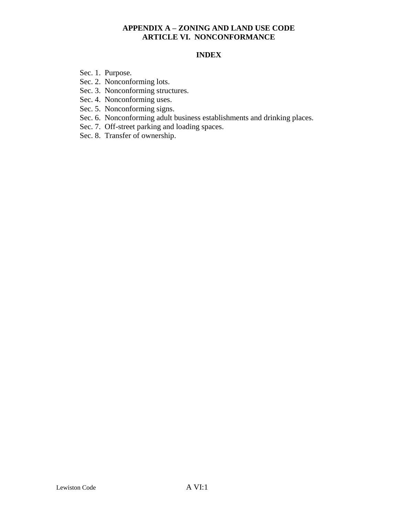## **INDEX**

- Sec. 1. Purpose.
- Sec. 2. Nonconforming lots.
- Sec. 3. Nonconforming structures.
- Sec. 4. Nonconforming uses.
- Sec. 5. Nonconforming signs.
- Sec. 6. Nonconforming adult business establishments and drinking places.
- Sec. 7. Off-street parking and loading spaces.
- Sec. 8. Transfer of ownership.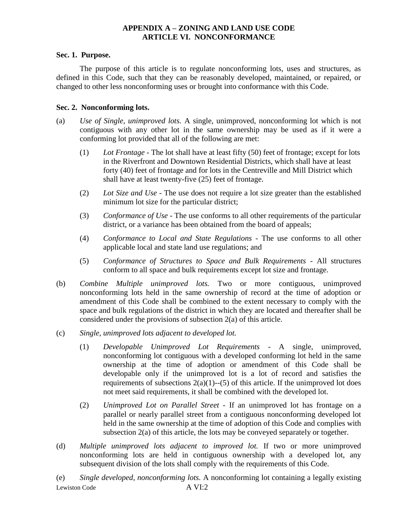#### **Sec. 1. Purpose.**

The purpose of this article is to regulate nonconforming lots, uses and structures, as defined in this Code, such that they can be reasonably developed, maintained, or repaired, or changed to other less nonconforming uses or brought into conformance with this Code.

#### **Sec. 2. Nonconforming lots.**

- (a) *Use of Single, unimproved lots.* A single, unimproved, nonconforming lot which is not contiguous with any other lot in the same ownership may be used as if it were a conforming lot provided that all of the following are met:
	- (1) *Lot Frontage -* The lot shall have at least fifty (50) feet of frontage; except for lots in the Riverfront and Downtown Residential Districts, which shall have at least forty (40) feet of frontage and for lots in the Centreville and Mill District which shall have at least twenty-five (25) feet of frontage.
	- (2) *Lot Size and Use* The use does not require a lot size greater than the established minimum lot size for the particular district;
	- (3) *Conformance of Use* The use conforms to all other requirements of the particular district, or a variance has been obtained from the board of appeals;
	- (4) *Conformance to Local and State Regulations* The use conforms to all other applicable local and state land use regulations; and
	- (5) *Conformance of Structures to Space and Bulk Requirements* All structures conform to all space and bulk requirements except lot size and frontage.
- (b) *Combine Multiple unimproved lots.* Two or more contiguous, unimproved nonconforming lots held in the same ownership of record at the time of adoption or amendment of this Code shall be combined to the extent necessary to comply with the space and bulk regulations of the district in which they are located and thereafter shall be considered under the provisions of subsection 2(a) of this article.
- (c) *Single, unimproved lots adjacent to developed lot.*
	- (1) *Developable Unimproved Lot Requirements* A single, unimproved, nonconforming lot contiguous with a developed conforming lot held in the same ownership at the time of adoption or amendment of this Code shall be developable only if the unimproved lot is a lot of record and satisfies the requirements of subsections  $2(a)(1)$ --(5) of this article. If the unimproved lot does not meet said requirements, it shall be combined with the developed lot.
	- (2) *Unimproved Lot on Parallel Street* If an unimproved lot has frontage on a parallel or nearly parallel street from a contiguous nonconforming developed lot held in the same ownership at the time of adoption of this Code and complies with subsection 2(a) of this article, the lots may be conveyed separately or together.
- (d) *Multiple unimproved lots adjacent to improved lot.* If two or more unimproved nonconforming lots are held in contiguous ownership with a developed lot, any subsequent division of the lots shall comply with the requirements of this Code.

Lewiston Code A VI:2 (e) *Single developed, nonconforming lots.* A nonconforming lot containing a legally existing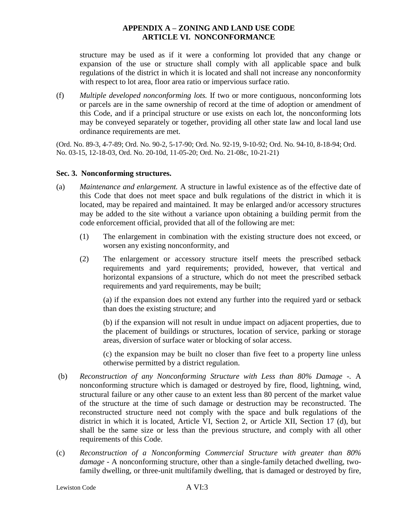structure may be used as if it were a conforming lot provided that any change or expansion of the use or structure shall comply with all applicable space and bulk regulations of the district in which it is located and shall not increase any nonconformity with respect to lot area, floor area ratio or impervious surface ratio.

(f) *Multiple developed nonconforming lots.* If two or more contiguous, nonconforming lots or parcels are in the same ownership of record at the time of adoption or amendment of this Code, and if a principal structure or use exists on each lot, the nonconforming lots may be conveyed separately or together, providing all other state law and local land use ordinance requirements are met.

(Ord. No. 89-3, 4-7-89; Ord. No. 90-2, 5-17-90; Ord. No. 92-19, 9-10-92; Ord. No. 94-10, 8-18-94; Ord. No. 03-15, 12-18-03, Ord. No. 20-10d, 11-05-20; Ord. No. 21-08c, 10-21-21)

#### **Sec. 3. Nonconforming structures.**

- (a) *Maintenance and enlargement.* A structure in lawful existence as of the effective date of this Code that does not meet space and bulk regulations of the district in which it is located, may be repaired and maintained. It may be enlarged and/or accessory structures may be added to the site without a variance upon obtaining a building permit from the code enforcement official, provided that all of the following are met:
	- (1) The enlargement in combination with the existing structure does not exceed, or worsen any existing nonconformity, and
	- (2) The enlargement or accessory structure itself meets the prescribed setback requirements and yard requirements; provided, however, that vertical and horizontal expansions of a structure, which do not meet the prescribed setback requirements and yard requirements, may be built;

(a) if the expansion does not extend any further into the required yard or setback than does the existing structure; and

(b) if the expansion will not result in undue impact on adjacent properties, due to the placement of buildings or structures, location of service, parking or storage areas, diversion of surface water or blocking of solar access.

(c) the expansion may be built no closer than five feet to a property line unless otherwise permitted by a district regulation.

- (b) *Reconstruction of any Nonconforming Structure with Less than 80% Damage -.* A nonconforming structure which is damaged or destroyed by fire, flood, lightning, wind, structural failure or any other cause to an extent less than 80 percent of the market value of the structure at the time of such damage or destruction may be reconstructed. The reconstructed structure need not comply with the space and bulk regulations of the district in which it is located, Article VI, Section 2, or Article XII, Section 17 (d), but shall be the same size or less than the previous structure, and comply with all other requirements of this Code.
- (c) *Reconstruction of a Nonconforming Commercial Structure with greater than 80% damage* - A nonconforming structure, other than a single-family detached dwelling, twofamily dwelling, or three-unit multifamily dwelling, that is damaged or destroyed by fire,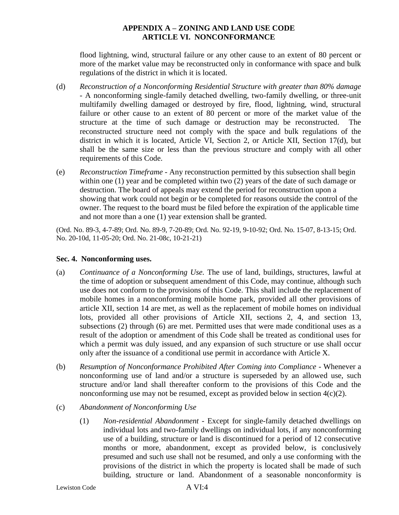flood lightning, wind, structural failure or any other cause to an extent of 80 percent or more of the market value may be reconstructed only in conformance with space and bulk regulations of the district in which it is located.

- (d) *Reconstruction of a Nonconforming Residential Structure with greater than 80% damage* - A nonconforming single-family detached dwelling, two-family dwelling, or three-unit multifamily dwelling damaged or destroyed by fire, flood, lightning, wind, structural failure or other cause to an extent of 80 percent or more of the market value of the structure at the time of such damage or destruction may be reconstructed. The reconstructed structure need not comply with the space and bulk regulations of the district in which it is located, Article VI, Section 2, or Article XII, Section 17(d), but shall be the same size or less than the previous structure and comply with all other requirements of this Code.
- (e) *Reconstruction Timeframe -* Any reconstruction permitted by this subsection shall begin within one (1) year and be completed within two (2) years of the date of such damage or destruction. The board of appeals may extend the period for reconstruction upon a showing that work could not begin or be completed for reasons outside the control of the owner. The request to the board must be filed before the expiration of the applicable time and not more than a one (1) year extension shall be granted.

(Ord. No. 89-3, 4-7-89; Ord. No. 89-9, 7-20-89; Ord. No. 92-19, 9-10-92; Ord. No. 15-07, 8-13-15; Ord. No. 20-10d, 11-05-20; Ord. No. 21-08c, 10-21-21)

#### **Sec. 4. Nonconforming uses.**

- (a) *Continuance of a Nonconforming Use.* The use of land, buildings, structures, lawful at the time of adoption or subsequent amendment of this Code, may continue, although such use does not conform to the provisions of this Code. This shall include the replacement of mobile homes in a nonconforming mobile home park, provided all other provisions of article XII, section 14 are met, as well as the replacement of mobile homes on individual lots, provided all other provisions of Article XII, sections 2, 4, and section 13, subsections (2) through (6) are met. Permitted uses that were made conditional uses as a result of the adoption or amendment of this Code shall be treated as conditional uses for which a permit was duly issued, and any expansion of such structure or use shall occur only after the issuance of a conditional use permit in accordance with Article X.
- (b) *Resumption of Nonconformance Prohibited After Coming into Compliance -* Whenever a nonconforming use of land and/or a structure is superseded by an allowed use, such structure and/or land shall thereafter conform to the provisions of this Code and the nonconforming use may not be resumed, except as provided below in section 4(c)(2).
- (c) *Abandonment of Nonconforming Use*
	- (1) *Non-residential Abandonment -* Except for single-family detached dwellings on individual lots and two-family dwellings on individual lots, if any nonconforming use of a building, structure or land is discontinued for a period of 12 consecutive months or more, abandonment, except as provided below, is conclusively presumed and such use shall not be resumed, and only a use conforming with the provisions of the district in which the property is located shall be made of such building, structure or land. Abandonment of a seasonable nonconformity is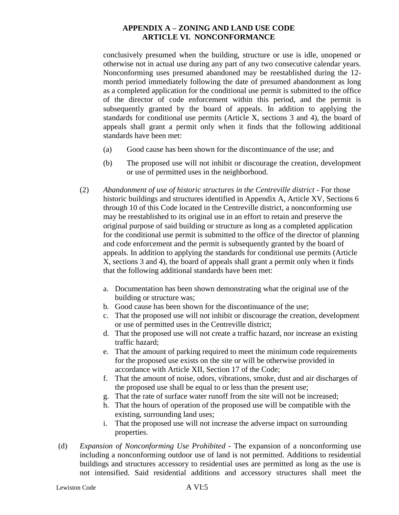conclusively presumed when the building, structure or use is idle, unopened or otherwise not in actual use during any part of any two consecutive calendar years. Nonconforming uses presumed abandoned may be reestablished during the 12 month period immediately following the date of presumed abandonment as long as a completed application for the conditional use permit is submitted to the office of the director of code enforcement within this period, and the permit is subsequently granted by the board of appeals. In addition to applying the standards for conditional use permits (Article X, sections 3 and 4), the board of appeals shall grant a permit only when it finds that the following additional standards have been met:

- (a) Good cause has been shown for the discontinuance of the use; and
- (b) The proposed use will not inhibit or discourage the creation, development or use of permitted uses in the neighborhood.
- (2) *Abandonment of use of historic structures in the Centreville district -* For those historic buildings and structures identified in Appendix A, Article XV, Sections 6 through 10 of this Code located in the Centreville district, a nonconforming use may be reestablished to its original use in an effort to retain and preserve the original purpose of said building or structure as long as a completed application for the conditional use permit is submitted to the office of the director of planning and code enforcement and the permit is subsequently granted by the board of appeals. In addition to applying the standards for conditional use permits (Article X, sections 3 and 4), the board of appeals shall grant a permit only when it finds that the following additional standards have been met:
	- a. Documentation has been shown demonstrating what the original use of the building or structure was;
	- b. Good cause has been shown for the discontinuance of the use;
	- c. That the proposed use will not inhibit or discourage the creation, development or use of permitted uses in the Centreville district;
	- d. That the proposed use will not create a traffic hazard, nor increase an existing traffic hazard;
	- e. That the amount of parking required to meet the minimum code requirements for the proposed use exists on the site or will be otherwise provided in accordance with Article XII, Section 17 of the Code;
	- f. That the amount of noise, odors, vibrations, smoke, dust and air discharges of the proposed use shall be equal to or less than the present use;
	- g. That the rate of surface water runoff from the site will not be increased;
	- h. That the hours of operation of the proposed use will be compatible with the existing, surrounding land uses;
	- i. That the proposed use will not increase the adverse impact on surrounding properties.
- (d) *Expansion of Nonconforming Use Prohibited -* The expansion of a nonconforming use including a nonconforming outdoor use of land is not permitted. Additions to residential buildings and structures accessory to residential uses are permitted as long as the use is not intensified. Said residential additions and accessory structures shall meet the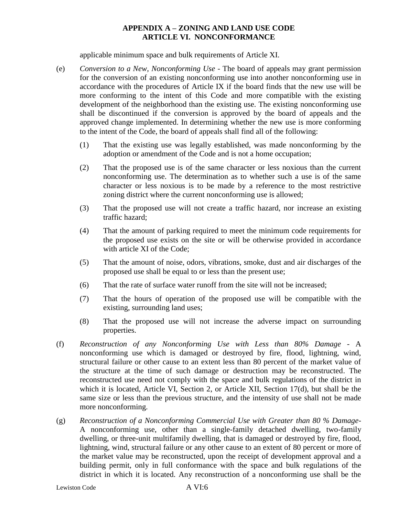applicable minimum space and bulk requirements of Article XI.

- (e) *Conversion to a New, Nonconforming Use -* The board of appeals may grant permission for the conversion of an existing nonconforming use into another nonconforming use in accordance with the procedures of Article IX if the board finds that the new use will be more conforming to the intent of this Code and more compatible with the existing development of the neighborhood than the existing use. The existing nonconforming use shall be discontinued if the conversion is approved by the board of appeals and the approved change implemented. In determining whether the new use is more conforming to the intent of the Code, the board of appeals shall find all of the following:
	- (1) That the existing use was legally established, was made nonconforming by the adoption or amendment of the Code and is not a home occupation;
	- (2) That the proposed use is of the same character or less noxious than the current nonconforming use. The determination as to whether such a use is of the same character or less noxious is to be made by a reference to the most restrictive zoning district where the current nonconforming use is allowed;
	- (3) That the proposed use will not create a traffic hazard, nor increase an existing traffic hazard;
	- (4) That the amount of parking required to meet the minimum code requirements for the proposed use exists on the site or will be otherwise provided in accordance with article XI of the Code;
	- (5) That the amount of noise, odors, vibrations, smoke, dust and air discharges of the proposed use shall be equal to or less than the present use;
	- (6) That the rate of surface water runoff from the site will not be increased;
	- (7) That the hours of operation of the proposed use will be compatible with the existing, surrounding land uses;
	- (8) That the proposed use will not increase the adverse impact on surrounding properties.
- (f) *Reconstruction of any Nonconforming Use with Less than 80% Damage -* A nonconforming use which is damaged or destroyed by fire, flood, lightning, wind, structural failure or other cause to an extent less than 80 percent of the market value of the structure at the time of such damage or destruction may be reconstructed. The reconstructed use need not comply with the space and bulk regulations of the district in which it is located, Article VI, Section 2, or Article XII, Section 17(d), but shall be the same size or less than the previous structure, and the intensity of use shall not be made more nonconforming.
- (g) *Reconstruction of a Nonconforming Commercial Use with Greater than 80 % Damage-*A nonconforming use, other than a single-family detached dwelling, two-family dwelling, or three-unit multifamily dwelling, that is damaged or destroyed by fire, flood, lightning, wind, structural failure or any other cause to an extent of 80 percent or more of the market value may be reconstructed, upon the receipt of development approval and a building permit, only in full conformance with the space and bulk regulations of the district in which it is located. Any reconstruction of a nonconforming use shall be the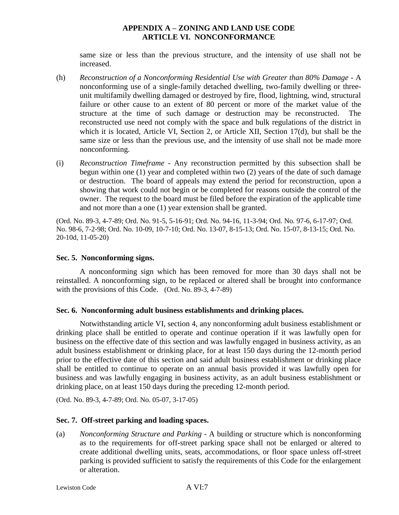same size or less than the previous structure, and the intensity of use shall not be increased.

- (h) *Reconstruction of a Nonconforming Residential Use with Greater than 80% Damage -* A nonconforming use of a single-family detached dwelling, two-family dwelling or threeunit multifamily dwelling damaged or destroyed by fire, flood, lightning, wind, structural failure or other cause to an extent of 80 percent or more of the market value of the structure at the time of such damage or destruction may be reconstructed. The reconstructed use need not comply with the space and bulk regulations of the district in which it is located, Article VI, Section 2, or Article XII, Section 17(d), but shall be the same size or less than the previous use, and the intensity of use shall not be made more nonconforming.
- (i) *Reconstruction Timeframe -* Any reconstruction permitted by this subsection shall be begun within one (1) year and completed within two (2) years of the date of such damage or destruction. The board of appeals may extend the period for reconstruction, upon a showing that work could not begin or be completed for reasons outside the control of the owner. The request to the board must be filed before the expiration of the applicable time and not more than a one (1) year extension shall be granted.

(Ord. No. 89-3, 4-7-89; Ord. No. 91-5, 5-16-91; Ord. No. 94-16, 11-3-94; Ord. No. 97-6, 6-17-97; Ord. No. 98-6, 7-2-98; Ord. No. 10-09, 10-7-10; Ord. No. 13-07, 8-15-13; Ord. No. 15-07, 8-13-15; Ord. No. 20-10d, 11-05-20)

#### **Sec. 5. Nonconforming signs.**

A nonconforming sign which has been removed for more than 30 days shall not be reinstalled. A nonconforming sign, to be replaced or altered shall be brought into conformance with the provisions of this Code. (Ord. No. 89-3, 4-7-89)

#### **Sec. 6. Nonconforming adult business establishments and drinking places.**

Notwithstanding article VI, section 4, any nonconforming adult business establishment or drinking place shall be entitled to operate and continue operation if it was lawfully open for business on the effective date of this section and was lawfully engaged in business activity, as an adult business establishment or drinking place, for at least 150 days during the 12-month period prior to the effective date of this section and said adult business establishment or drinking place shall be entitled to continue to operate on an annual basis provided it was lawfully open for business and was lawfully engaging in business activity, as an adult business establishment or drinking place, on at least 150 days during the preceding 12-month period.

(Ord. No. 89-3, 4-7-89; Ord. No. 05-07, 3-17-05)

#### **Sec. 7. Off-street parking and loading spaces.**

(a) *Nonconforming Structure and Parking -* A building or structure which is nonconforming as to the requirements for off-street parking space shall not be enlarged or altered to create additional dwelling units, seats, accommodations, or floor space unless off-street parking is provided sufficient to satisfy the requirements of this Code for the enlargement or alteration.